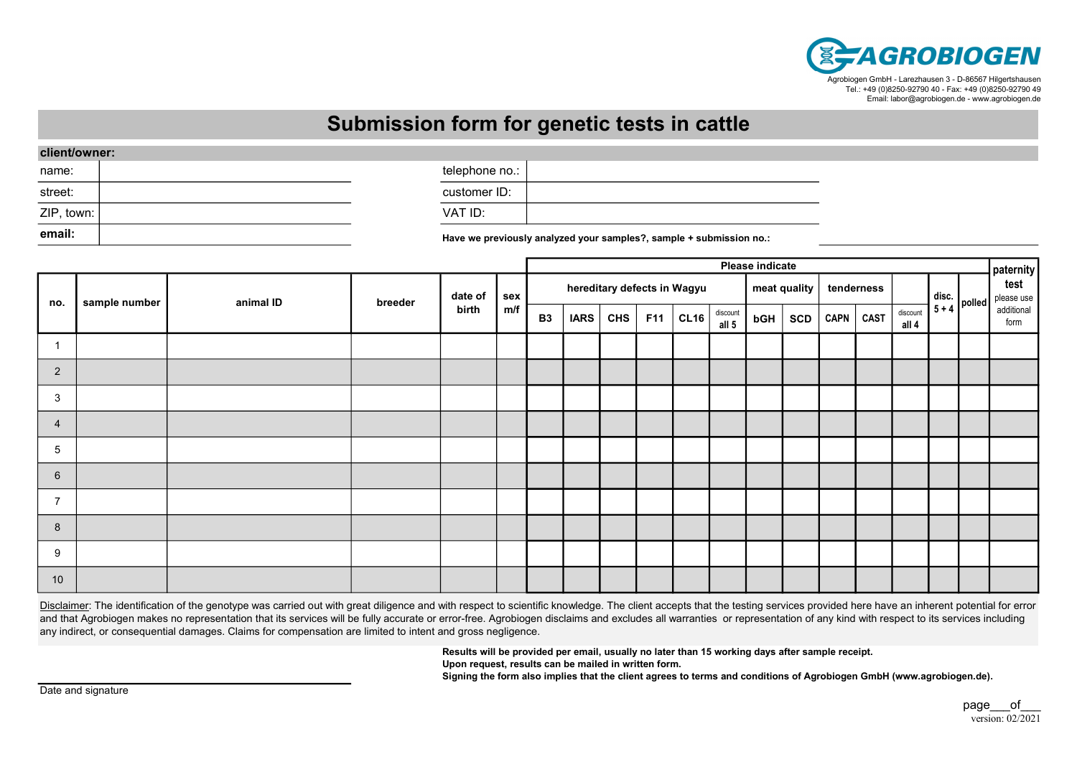

## Submission form for genetic tests in cattle

| client/owner: |  |                                                                                                                 |  |
|---------------|--|-----------------------------------------------------------------------------------------------------------------|--|
| name:         |  | telephone no.:                                                                                                  |  |
| street:       |  | customer ID:                                                                                                    |  |
| ZIP, town:    |  | VAT ID:                                                                                                         |  |
| email:        |  | These is a particular to the product of a secondary of the set of the set of the set of the set of the set of t |  |

Have we previously analyzed your samples?, sample + submission no.:

|                 |               |           |         |                  |            |                                             |             | Please indicate |            |      |                   |     |            |      |             |                   |                                                              |  |                    |  |
|-----------------|---------------|-----------|---------|------------------|------------|---------------------------------------------|-------------|-----------------|------------|------|-------------------|-----|------------|------|-------------|-------------------|--------------------------------------------------------------|--|--------------------|--|
| no.             | sample number | animal ID | breeder | date of<br>birth | sex<br>m/f | hereditary defects in Wagyu<br>meat quality |             |                 |            |      |                   |     | tenderness |      |             |                   | paternity<br>test<br>please use                              |  |                    |  |
|                 |               |           |         |                  |            | <b>B3</b>                                   | <b>IARS</b> | <b>CHS</b>      | <b>F11</b> | CL16 | discount<br>all 5 | bGH | SCD        | CAPN | <b>CAST</b> | discount<br>all 4 | $\begin{bmatrix} \text{disc.} \\ 5 + 4 \end{bmatrix}$ polled |  | additional<br>form |  |
|                 |               |           |         |                  |            |                                             |             |                 |            |      |                   |     |            |      |             |                   |                                                              |  |                    |  |
| $\overline{2}$  |               |           |         |                  |            |                                             |             |                 |            |      |                   |     |            |      |             |                   |                                                              |  |                    |  |
| 3               |               |           |         |                  |            |                                             |             |                 |            |      |                   |     |            |      |             |                   |                                                              |  |                    |  |
| $\overline{4}$  |               |           |         |                  |            |                                             |             |                 |            |      |                   |     |            |      |             |                   |                                                              |  |                    |  |
| 5               |               |           |         |                  |            |                                             |             |                 |            |      |                   |     |            |      |             |                   |                                                              |  |                    |  |
| $6\phantom{1}6$ |               |           |         |                  |            |                                             |             |                 |            |      |                   |     |            |      |             |                   |                                                              |  |                    |  |
| $\overline{7}$  |               |           |         |                  |            |                                             |             |                 |            |      |                   |     |            |      |             |                   |                                                              |  |                    |  |
| 8               |               |           |         |                  |            |                                             |             |                 |            |      |                   |     |            |      |             |                   |                                                              |  |                    |  |
| 9               |               |           |         |                  |            |                                             |             |                 |            |      |                   |     |            |      |             |                   |                                                              |  |                    |  |
| 10              |               |           |         |                  |            |                                             |             |                 |            |      |                   |     |            |      |             |                   |                                                              |  |                    |  |

Disclaimer: The identification of the genotype was carried out with great diligence and with respect to scientific knowledge. The client accepts that the testing services provided here have an inherent potential for error and that Agrobiogen makes no representation that its services will be fully accurate or error-free. Agrobiogen disclaims and excludes all warranties or representation of any kind with respect to its services including any indirect, or consequential damages. Claims for compensation are limited to intent and gross negligence.

> Results will be provided per email, usually no later than 15 working days after sample receipt. Upon request, results can be mailed in written form.

Signing the form also implies that the client agrees to terms and conditions of Agrobiogen GmbH (www.agrobiogen.de).